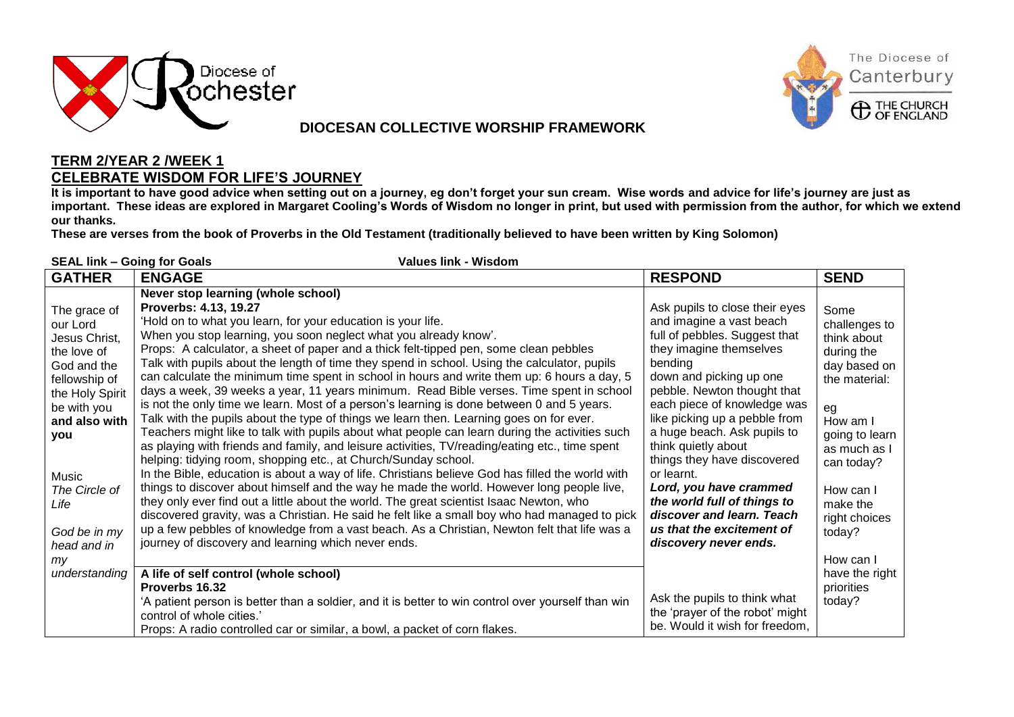

### **DIOCESAN COLLECTIVE WORSHIP FRAMEWORK**



### **TERM 2/YEAR 2 /WEEK 1 CELEBRATE WISDOM FOR LIFE'S JOURNEY**

**It is important to have good advice when setting out on a journey, eg don't forget your sun cream. Wise words and advice for life's journey are just as important. These ideas are explored in Margaret Cooling's Words of Wisdom no longer in print, but used with permission from the author, for which we extend our thanks.** 

**These are verses from the book of Proverbs in the Old Testament (traditionally believed to have been written by King Solomon)**

| <b>Values link - Wisdom</b><br><b>SEAL link - Going for Goals</b>                                                                                                                                                                          |                                                                                                                                                                                                                                                                                                                                                                                                                                                                                                                                                                                                                                                                                                                                                                                                                                                                                                                                                                                                                                                                                                                                                                                                                                                                                                                                                                                                                                                                                                                                                                                                                                               |                                                                                                                                                                                                                                                                                                                                                                                                                                                                                                            |                                                                                                                                                                                                                                          |  |  |  |  |
|--------------------------------------------------------------------------------------------------------------------------------------------------------------------------------------------------------------------------------------------|-----------------------------------------------------------------------------------------------------------------------------------------------------------------------------------------------------------------------------------------------------------------------------------------------------------------------------------------------------------------------------------------------------------------------------------------------------------------------------------------------------------------------------------------------------------------------------------------------------------------------------------------------------------------------------------------------------------------------------------------------------------------------------------------------------------------------------------------------------------------------------------------------------------------------------------------------------------------------------------------------------------------------------------------------------------------------------------------------------------------------------------------------------------------------------------------------------------------------------------------------------------------------------------------------------------------------------------------------------------------------------------------------------------------------------------------------------------------------------------------------------------------------------------------------------------------------------------------------------------------------------------------------|------------------------------------------------------------------------------------------------------------------------------------------------------------------------------------------------------------------------------------------------------------------------------------------------------------------------------------------------------------------------------------------------------------------------------------------------------------------------------------------------------------|------------------------------------------------------------------------------------------------------------------------------------------------------------------------------------------------------------------------------------------|--|--|--|--|
| <b>GATHER</b>                                                                                                                                                                                                                              | <b>ENGAGE</b>                                                                                                                                                                                                                                                                                                                                                                                                                                                                                                                                                                                                                                                                                                                                                                                                                                                                                                                                                                                                                                                                                                                                                                                                                                                                                                                                                                                                                                                                                                                                                                                                                                 | <b>RESPOND</b>                                                                                                                                                                                                                                                                                                                                                                                                                                                                                             | <b>SEND</b>                                                                                                                                                                                                                              |  |  |  |  |
| The grace of<br>our Lord<br>Jesus Christ,<br>the love of<br>God and the<br>fellowship of<br>the Holy Spirit<br>be with you<br>and also with<br>you<br>Music<br>The Circle of<br>Life<br>God be in my<br>head and in<br>my<br>understanding | Never stop learning (whole school)<br>Proverbs: 4.13, 19.27<br>'Hold on to what you learn, for your education is your life.<br>When you stop learning, you soon neglect what you already know'.<br>Props: A calculator, a sheet of paper and a thick felt-tipped pen, some clean pebbles<br>Talk with pupils about the length of time they spend in school. Using the calculator, pupils<br>can calculate the minimum time spent in school in hours and write them up: 6 hours a day, 5<br>days a week, 39 weeks a year, 11 years minimum. Read Bible verses. Time spent in school<br>is not the only time we learn. Most of a person's learning is done between 0 and 5 years.<br>Talk with the pupils about the type of things we learn then. Learning goes on for ever.<br>Teachers might like to talk with pupils about what people can learn during the activities such<br>as playing with friends and family, and leisure activities, TV/reading/eating etc., time spent<br>helping: tidying room, shopping etc., at Church/Sunday school.<br>In the Bible, education is about a way of life. Christians believe God has filled the world with<br>things to discover about himself and the way he made the world. However long people live,<br>they only ever find out a little about the world. The great scientist Isaac Newton, who<br>discovered gravity, was a Christian. He said he felt like a small boy who had managed to pick<br>up a few pebbles of knowledge from a vast beach. As a Christian, Newton felt that life was a<br>journey of discovery and learning which never ends.<br>A life of self control (whole school) | Ask pupils to close their eyes<br>and imagine a vast beach<br>full of pebbles. Suggest that<br>they imagine themselves<br>bending<br>down and picking up one<br>pebble. Newton thought that<br>each piece of knowledge was<br>like picking up a pebble from<br>a huge beach. Ask pupils to<br>think quietly about<br>things they have discovered<br>or learnt.<br>Lord, you have crammed<br>the world full of things to<br>discover and learn. Teach<br>us that the excitement of<br>discovery never ends. | Some<br>challenges to<br>think about<br>during the<br>day based on<br>the material:<br>eg<br>How am I<br>going to learn<br>as much as I<br>can today?<br>How can I<br>make the<br>right choices<br>today?<br>How can I<br>have the right |  |  |  |  |
|                                                                                                                                                                                                                                            | Proverbs 16.32<br>'A patient person is better than a soldier, and it is better to win control over yourself than win<br>control of whole cities.'<br>Props: A radio controlled car or similar, a bowl, a packet of corn flakes.                                                                                                                                                                                                                                                                                                                                                                                                                                                                                                                                                                                                                                                                                                                                                                                                                                                                                                                                                                                                                                                                                                                                                                                                                                                                                                                                                                                                               | Ask the pupils to think what<br>the 'prayer of the robot' might<br>be. Would it wish for freedom,                                                                                                                                                                                                                                                                                                                                                                                                          | priorities<br>today?                                                                                                                                                                                                                     |  |  |  |  |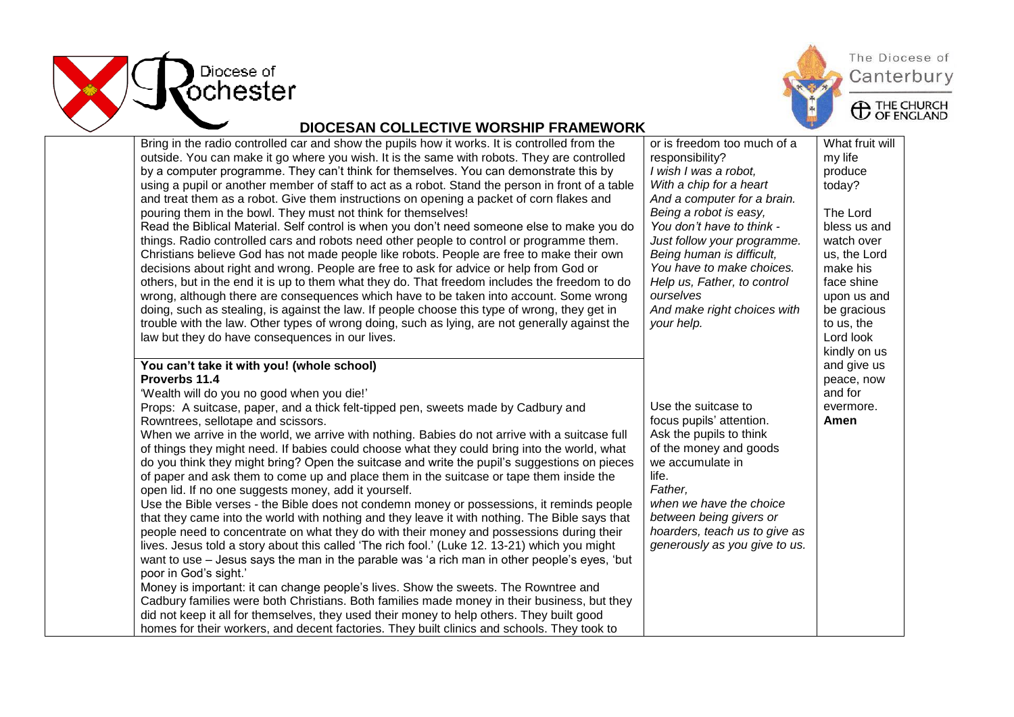



## The Diocese of Canterbury

### **DIOCESAN COLLECTIVE WORSHIP FRAMEWORK**

| Bring in the radio controlled car and show the pupils how it works. It is controlled from the    | or is freedom too much of a   | What fruit will |
|--------------------------------------------------------------------------------------------------|-------------------------------|-----------------|
| outside. You can make it go where you wish. It is the same with robots. They are controlled      | responsibility?               | my life         |
| by a computer programme. They can't think for themselves. You can demonstrate this by            | I wish I was a robot,         | produce         |
| using a pupil or another member of staff to act as a robot. Stand the person in front of a table | With a chip for a heart       | today?          |
| and treat them as a robot. Give them instructions on opening a packet of corn flakes and         | And a computer for a brain.   |                 |
| pouring them in the bowl. They must not think for themselves!                                    | Being a robot is easy,        | The Lord        |
| Read the Biblical Material. Self control is when you don't need someone else to make you do      | You don't have to think -     | bless us and    |
| things. Radio controlled cars and robots need other people to control or programme them.         | Just follow your programme.   | watch over      |
| Christians believe God has not made people like robots. People are free to make their own        | Being human is difficult,     | us, the Lord    |
| decisions about right and wrong. People are free to ask for advice or help from God or           | You have to make choices.     | make his        |
| others, but in the end it is up to them what they do. That freedom includes the freedom to do    | Help us, Father, to control   | face shine      |
| wrong, although there are consequences which have to be taken into account. Some wrong           | ourselves                     | upon us and     |
| doing, such as stealing, is against the law. If people choose this type of wrong, they get in    | And make right choices with   | be gracious     |
| trouble with the law. Other types of wrong doing, such as lying, are not generally against the   | your help.                    | to us, the      |
| law but they do have consequences in our lives.                                                  |                               | Lord look       |
|                                                                                                  |                               | kindly on us    |
| You can't take it with you! (whole school)                                                       |                               | and give us     |
| Proverbs 11.4                                                                                    |                               | peace, now      |
| 'Wealth will do you no good when you die!'                                                       |                               | and for         |
| Props: A suitcase, paper, and a thick felt-tipped pen, sweets made by Cadbury and                | Use the suitcase to           | evermore.       |
| Rowntrees, sellotape and scissors.                                                               | focus pupils' attention.      | Amen            |
| When we arrive in the world, we arrive with nothing. Babies do not arrive with a suitcase full   | Ask the pupils to think       |                 |
| of things they might need. If babies could choose what they could bring into the world, what     | of the money and goods        |                 |
| do you think they might bring? Open the suitcase and write the pupil's suggestions on pieces     | we accumulate in              |                 |
| of paper and ask them to come up and place them in the suitcase or tape them inside the          | life.                         |                 |
| open lid. If no one suggests money, add it yourself.                                             | Father,                       |                 |
| Use the Bible verses - the Bible does not condemn money or possessions, it reminds people        | when we have the choice       |                 |
| that they came into the world with nothing and they leave it with nothing. The Bible says that   | between being givers or       |                 |
| people need to concentrate on what they do with their money and possessions during their         | hoarders, teach us to give as |                 |
| lives. Jesus told a story about this called 'The rich fool.' (Luke 12. 13-21) which you might    | generously as you give to us. |                 |
| want to use - Jesus says the man in the parable was 'a rich man in other people's eyes, 'but     |                               |                 |
| poor in God's sight.'                                                                            |                               |                 |
| Money is important: it can change people's lives. Show the sweets. The Rowntree and              |                               |                 |
| Cadbury families were both Christians. Both families made money in their business, but they      |                               |                 |
| did not keep it all for themselves, they used their money to help others. They built good        |                               |                 |
| homes for their workers, and decent factories. They built clinics and schools. They took to      |                               |                 |